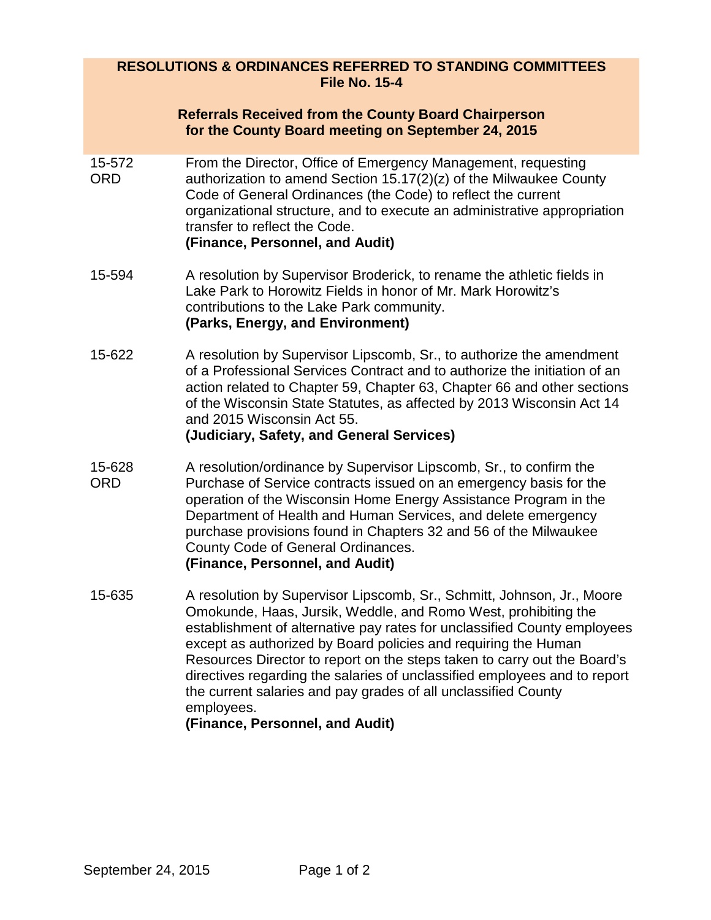### **RESOLUTIONS & ORDINANCES REFERRED TO STANDING COMMITTEES File No. 15-4**

#### **Referrals Received from the County Board Chairperson for the County Board meeting on September 24, 2015**

- 15-572 ORD From the Director, Office of Emergency Management, requesting authorization to amend Section 15.17(2)(z) of the Milwaukee County Code of General Ordinances (the Code) to reflect the current organizational structure, and to execute an administrative appropriation transfer to reflect the Code. **(Finance, Personnel, and Audit)**
- 15-594 A resolution by Supervisor Broderick, to rename the athletic fields in Lake Park to Horowitz Fields in honor of Mr. Mark Horowitz's contributions to the Lake Park community. **(Parks, Energy, and Environment)**
- 15-622 A resolution by Supervisor Lipscomb, Sr., to authorize the amendment of a Professional Services Contract and to authorize the initiation of an action related to Chapter 59, Chapter 63, Chapter 66 and other sections of the Wisconsin State Statutes, as affected by 2013 Wisconsin Act 14 and 2015 Wisconsin Act 55. **(Judiciary, Safety, and General Services)**
- 15-628 ORD A resolution/ordinance by Supervisor Lipscomb, Sr., to confirm the Purchase of Service contracts issued on an emergency basis for the operation of the Wisconsin Home Energy Assistance Program in the Department of Health and Human Services, and delete emergency purchase provisions found in Chapters 32 and 56 of the Milwaukee County Code of General Ordinances.

### **(Finance, Personnel, and Audit)**

15-635 A resolution by Supervisor Lipscomb, Sr., Schmitt, Johnson, Jr., Moore Omokunde, Haas, Jursik, Weddle, and Romo West, prohibiting the establishment of alternative pay rates for unclassified County employees except as authorized by Board policies and requiring the Human Resources Director to report on the steps taken to carry out the Board's directives regarding the salaries of unclassified employees and to report the current salaries and pay grades of all unclassified County employees.

## **(Finance, Personnel, and Audit)**